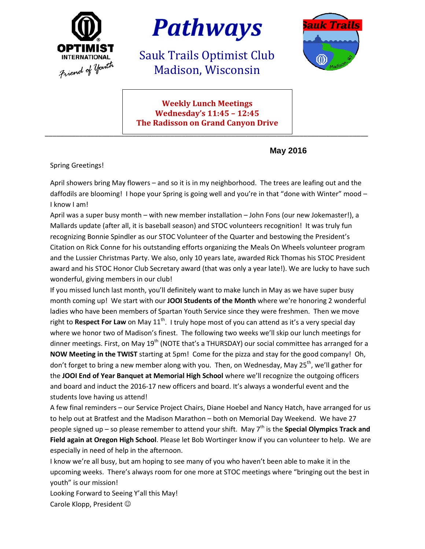



Sauk Trails Optimist Club Madison, Wisconsin



**Weekly Lunch Meetings Wednesday's 11:45 – 12:45 The Radisson on Grand Canyon Drive**

\_\_\_\_\_\_\_\_\_\_\_\_\_\_\_\_\_\_\_\_\_\_\_\_\_\_\_\_\_\_\_\_\_\_\_\_\_\_\_\_\_\_\_\_\_\_\_\_\_\_\_\_\_\_\_\_\_\_\_\_\_\_\_\_\_\_\_\_\_\_\_\_\_\_\_\_\_\_\_\_\_\_\_\_\_

**May 2016**

Spring Greetings!

April showers bring May flowers – and so it is in my neighborhood. The trees are leafing out and the daffodils are blooming! I hope your Spring is going well and you're in that "done with Winter" mood – I know I am!

April was a super busy month – with new member installation – John Fons (our new Jokemaster!), a Mallards update (after all, it is baseball season) and STOC volunteers recognition! It was truly fun recognizing Bonnie Spindler as our STOC Volunteer of the Quarter and bestowing the President's Citation on Rick Conne for his outstanding efforts organizing the Meals On Wheels volunteer program and the Lussier Christmas Party. We also, only 10 years late, awarded Rick Thomas his STOC President award and his STOC Honor Club Secretary award (that was only a year late!). We are lucky to have such wonderful, giving members in our club!

If you missed lunch last month, you'll definitely want to make lunch in May as we have super busy month coming up! We start with our **JOOI Students of the Month** where we're honoring 2 wonderful ladies who have been members of Spartan Youth Service since they were freshmen. Then we move right to **Respect For Law** on May 11<sup>th</sup>. I truly hope most of you can attend as it's a very special day where we honor two of Madison's finest. The following two weeks we'll skip our lunch meetings for dinner meetings. First, on May 19<sup>th</sup> (NOTE that's a THURSDAY) our social committee has arranged for a **NOW Meeting in the TWIST** starting at 5pm! Come for the pizza and stay for the good company! Oh, don't forget to bring a new member along with you. Then, on Wednesday, May 25<sup>th</sup>, we'll gather for the **JOOI End of Year Banquet at Memorial High School** where we'll recognize the outgoing officers and board and induct the 2016-17 new officers and board. It's always a wonderful event and the students love having us attend!

A few final reminders – our Service Project Chairs, Diane Hoebel and Nancy Hatch, have arranged for us to help out at Bratfest and the Madison Marathon – both on Memorial Day Weekend. We have 27 people signed up – so please remember to attend your shift. May 7<sup>th</sup> is the **Special Olympics Track and Field again at Oregon High School**. Please let Bob Wortinger know if you can volunteer to help. We are especially in need of help in the afternoon.

I know we're all busy, but am hoping to see many of you who haven't been able to make it in the upcoming weeks. There's always room for one more at STOC meetings where "bringing out the best in youth" is our mission!

Looking Forward to Seeing Y'all this May! Carole Klopp, President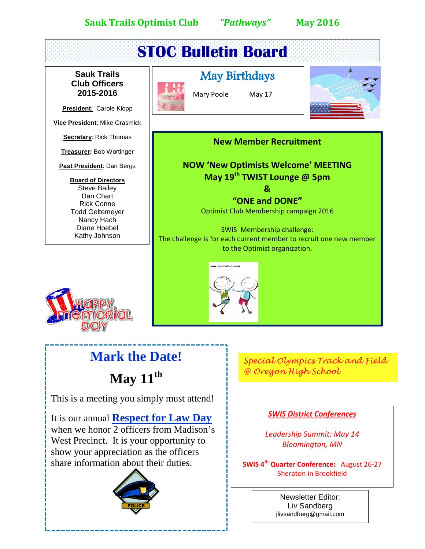





# **Mark the Date!**

**May 11th**

This is a meeting you simply must attend!

It is our annual **Respect for Law Day** when we honor 2 officers from Madison's West Precinct. It is your opportunity to show your appreciation as the officers share information about their duties.



*Special Olympics Track and Field @ Oregon High School*

#### *SWIS District Conferences*

*Leadership Summit: May 14 Bloomington, MN*

**SWIS 4th Quarter Conference:** August 26-27 Sheraton in Brookfield

> Newsletter Editor: Liv Sandberg jlivsandberg@gmail.com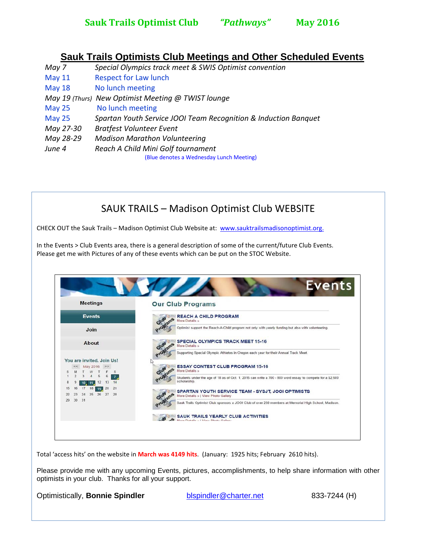### **Sauk Trails Optimists Club Meetings and Other Scheduled Events**

*May 7 Special Olympics track meet & SWIS Optimist convention* May 11 Respect for Law lunch May 18 No lunch meeting *May 19 (Thurs) New Optimist Meeting @ TWIST lounge* May 25 No lunch meeting May 25 *Spartan Youth Service JOOI Team Recognition & Induction Banquet May 27-30 Bratfest Volunteer Event May 28-29 Madison Marathon Volunteering June 4 Reach A Child Mini Golf tournament* (Blue denotes a Wednesday Lunch Meeting)

SAUK TRAILS – Madison Optimist Club WEBSITE

CHECK OUT the Sauk Trails - Madison Optimist Club Website at: www.sauktrailsmadisonoptimist.org.

In the Events > Club Events area, there is a general description of some of the current/future Club Events. Please get me with Pictures of any of these events which can be put on the STOC Website.



Total 'access hits' on the website in **March was 4149 hits**. (January: 1925 hits; February 2610 hits).

Please provide me with any upcoming Events, pictures, accomplishments, to help share information with other optimists in your club. Thanks for all your support.

Optimistically, **Bonnie Spindler** [blspindler@charter.net](mailto:blspindler@charter.net) 833-7244 (H)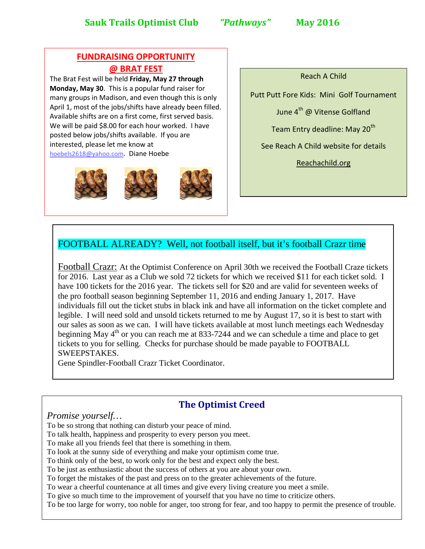#### **FUNDRAISING OPPORTUNITY @ BRAT FEST**

The Brat Fest will be held **Friday, May 27 through Monday, May 30**. This is a popular fund raiser for many groups in Madison, and even though this is only April 1, most of the jobs/shifts have already been filled. Available shifts are on a first come, first served basis. We will be paid \$8.00 for each hour worked. I have posted below jobs/shifts available. If you are interested, please let me know at [hoebels2618@yahoo.com.](mailto:hoebels2618@yahoo.com) Diane Hoebe



Reach A Child

Putt Putt Fore Kids: Mini Golf Tournament

June 4<sup>th</sup> @ Vitense Golfland

Team Entry deadline: May 20<sup>th</sup>

See Reach A Child website for details

Reachachild.org

#### FOOTBALL ALREADY? Well, not football itself, but it's football Crazr time

Football Crazr: At the Optimist Conference on April 30th we received the Football Craze tickets for 2016. Last year as a Club we sold 72 tickets for which we received \$11 for each ticket sold. I have 100 tickets for the 2016 year. The tickets sell for \$20 and are valid for seventeen weeks of the pro football season beginning September 11, 2016 and ending January 1, 2017. Have individuals fill out the ticket stubs in black ink and have all information on the ticket complete and legible. I will need sold and unsold tickets returned to me by August 17, so it is best to start with our sales as soon as we can. I will have tickets available at most lunch meetings each Wednesday beginning May 4<sup>th</sup> or you can reach me at 833-7244 and we can schedule a time and place to get tickets to you for selling. Checks for purchase should be made payable to FOOTBALL SWEEPSTAKES.

Gene Spindler-Football Crazr Ticket Coordinator.

### **The Optimist Creed**

#### *Promise yourself…*

To be so strong that nothing can disturb your peace of mind.

To talk health, happiness and prosperity to every person you meet.

To make all you friends feel that there is something in them.

To look at the sunny side of everything and make your optimism come true.

To think only of the best, to work only for the best and expect only the best.

To be just as enthusiastic about the success of others at you are about your own.

To forget the mistakes of the past and press on to the greater achievements of the future.

To wear a cheerful countenance at all times and give every living creature you meet a smile.

To give so much time to the improvement of yourself that you have no time to criticize others.

To be too large for worry, too noble for anger, too strong for fear, and too happy to permit the presence of trouble.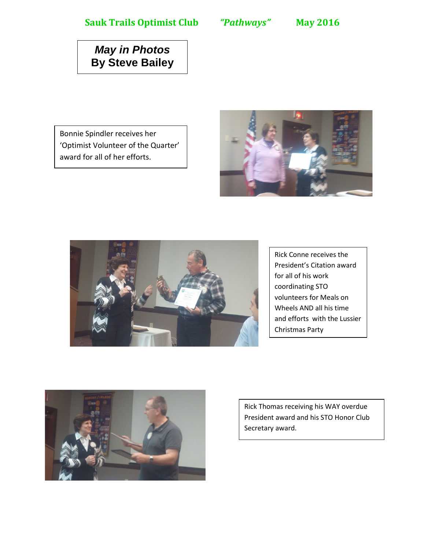## *May in Photos* **By Steve Bailey**

Bonnie Spindler receives her 'Optimist Volunteer of the Quarter' award for all of her efforts.





Rick Conne receives the President's Citation award for all of his work coordinating STO volunteers for Meals on Wheels AND all his time and efforts with the Lussier Christmas Party



Rick Thomas receiving his WAY overdue President award and his STO Honor Club Secretary award.